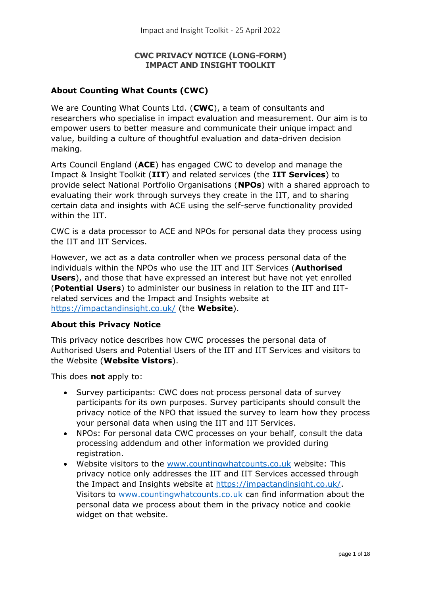#### **CWC PRIVACY NOTICE (LONG-FORM) IMPACT AND INSIGHT TOOLKIT**

# **About Counting What Counts (CWC)**

We are Counting What Counts Ltd. (**CWC**), a team of consultants and researchers who specialise in impact evaluation and measurement. Our aim is to empower users to better measure and communicate their unique impact and value, building a culture of thoughtful evaluation and data-driven decision making.

Arts Council England (**ACE**) has engaged CWC to develop and manage the Impact & Insight Toolkit (**IIT**) and related services (the **IIT Services**) to provide select National Portfolio Organisations (**NPOs**) with a shared approach to evaluating their work through surveys they create in the IIT, and to sharing certain data and insights with ACE using the self-serve functionality provided within the IIT.

CWC is a data processor to ACE and NPOs for personal data they process using the IIT and IIT Services.

However, we act as a data controller when we process personal data of the individuals within the NPOs who use the IIT and IIT Services (**Authorised Users**), and those that have expressed an interest but have not yet enrolled (**Potential Users**) to administer our business in relation to the IIT and IITrelated services and the Impact and Insights website at <https://impactandinsight.co.uk/> (the **Website**).

#### **About this Privacy Notice**

This privacy notice describes how CWC processes the personal data of Authorised Users and Potential Users of the IIT and IIT Services and visitors to the Website (**Website Vistors**).

This does **not** apply to:

- Survey participants: CWC does not process personal data of survey participants for its own purposes. Survey participants should consult the privacy notice of the NPO that issued the survey to learn how they process your personal data when using the IIT and IIT Services.
- NPOs: For personal data CWC processes on your behalf, consult the data processing addendum and other information we provided during registration.
- Website visitors to the [www.countingwhatcounts.co.uk](http://www.countingwhatcounts.co.uk/) website: This privacy notice only addresses the IIT and IIT Services accessed through the Impact and Insights website at [https://impactandinsight.co.uk/.](https://impactandinsight.co.uk/) Visitors to [www.countingwhatcounts.co.uk](http://www.countingwhatcounts.co.uk/) can find information about the personal data we process about them in the privacy notice and cookie widget on that website.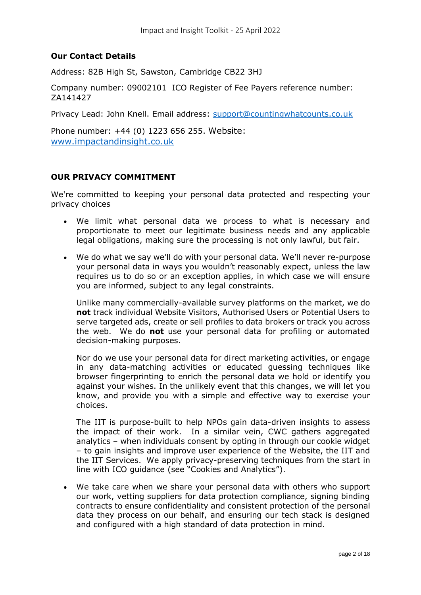#### **Our Contact Details**

Address: 82B High St, Sawston, Cambridge CB22 3HJ

Company number: 09002101 ICO Register of Fee Payers reference number: ZA141427

Privacy Lead: John Knell. Email address: [support@countingwhatcounts.co.uk](mailto:support@countingwhatcounts.co.uk)

Phone number: +44 (0) 1223 656 255. Website: [www.impactandinsight.co.uk](http://www.impactandinsight.co.uk/)

#### **OUR PRIVACY COMMITMENT**

We're committed to keeping your personal data protected and respecting your privacy choices

- We limit what personal data we process to what is necessary and proportionate to meet our legitimate business needs and any applicable legal obligations, making sure the processing is not only lawful, but fair.
- We do what we say we'll do with your personal data. We'll never re-purpose your personal data in ways you wouldn't reasonably expect, unless the law requires us to do so or an exception applies, in which case we will ensure you are informed, subject to any legal constraints.

Unlike many commercially-available survey platforms on the market, we do **not** track individual Website Visitors, Authorised Users or Potential Users to serve targeted ads, create or sell profiles to data brokers or track you across the web. We do **not** use your personal data for profiling or automated decision-making purposes.

Nor do we use your personal data for direct marketing activities, or engage in any data-matching activities or educated guessing techniques like browser fingerprinting to enrich the personal data we hold or identify you against your wishes. In the unlikely event that this changes, we will let you know, and provide you with a simple and effective way to exercise your choices.

The IIT is purpose-built to help NPOs gain data-driven insights to assess the impact of their work. In a similar vein, CWC gathers aggregated analytics – when individuals consent by opting in through our cookie widget – to gain insights and improve user experience of the Website, the IIT and the IIT Services. We apply privacy-preserving techniques from the start in line with ICO guidance (see "Cookies and Analytics").

• We take care when we share your personal data with others who support our work, vetting suppliers for data protection compliance, signing binding contracts to ensure confidentiality and consistent protection of the personal data they process on our behalf, and ensuring our tech stack is designed and configured with a high standard of data protection in mind.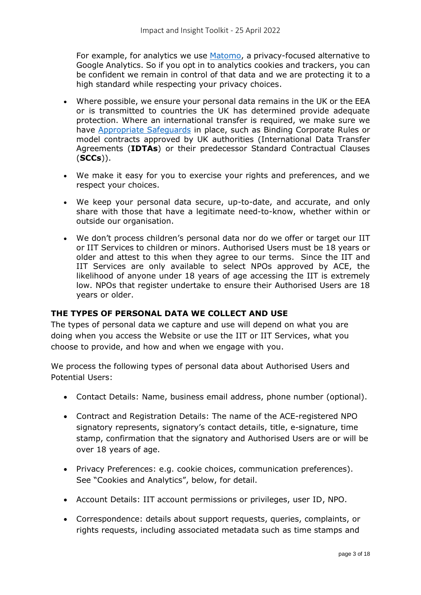For example, for analytics we use [Matomo,](https://matomo.org/) a privacy-focused alternative to Google Analytics. So if you opt in to analytics cookies and trackers, you can be confident we remain in control of that data and we are protecting it to a high standard while respecting your privacy choices.

- Where possible, we ensure your personal data remains in the UK or the EEA or is transmitted to countries the UK has determined provide adequate protection. Where an international transfer is required, we make sure we have [Appropriate](https://ico.org.uk/for-organisations/guide-to-data-protection/guide-to-the-general-data-protection-regulation-gdpr/international-transfers-after-uk-exit/) Safeguards in place, such as Binding Corporate Rules or model contracts approved by UK authorities (International Data Transfer Agreements (**IDTAs**) or their predecessor Standard Contractual Clauses (**SCCs**)).
- We make it easy for you to exercise your rights and preferences, and we respect your choices.
- We keep your personal data secure, up-to-date, and accurate, and only share with those that have a legitimate need-to-know, whether within or outside our organisation.
- We don't process children's personal data nor do we offer or target our IIT or IIT Services to children or minors. Authorised Users must be 18 years or older and attest to this when they agree to our terms. Since the IIT and IIT Services are only available to select NPOs approved by ACE, the likelihood of anyone under 18 years of age accessing the IIT is extremely low. NPOs that register undertake to ensure their Authorised Users are 18 years or older.

#### **THE TYPES OF PERSONAL DATA WE COLLECT AND USE**

The types of personal data we capture and use will depend on what you are doing when you access the Website or use the IIT or IIT Services, what you choose to provide, and how and when we engage with you.

We process the following types of personal data about Authorised Users and Potential Users:

- Contact Details: Name, business email address, phone number (optional).
- Contract and Registration Details: The name of the ACE-registered NPO signatory represents, signatory's contact details, title, e-signature, time stamp, confirmation that the signatory and Authorised Users are or will be over 18 years of age.
- Privacy Preferences: e.g. cookie choices, communication preferences). See "Cookies and Analytics", below, for detail.
- Account Details: IIT account permissions or privileges, user ID, NPO.
- Correspondence: details about support requests, queries, complaints, or rights requests, including associated metadata such as time stamps and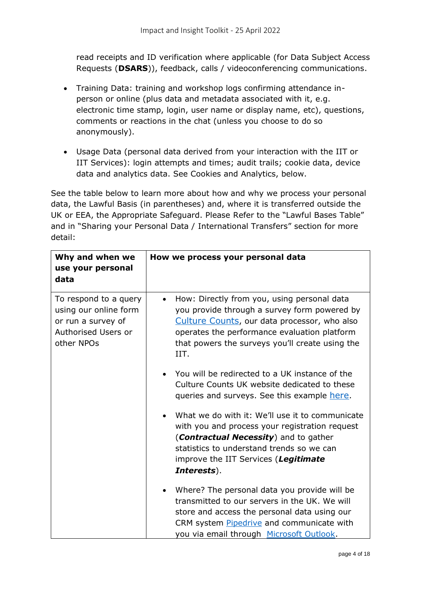read receipts and ID verification where applicable (for Data Subject Access Requests (**DSARS**)), feedback, calls / videoconferencing communications.

- Training Data: training and workshop logs confirming attendance inperson or online (plus data and metadata associated with it, e.g. electronic time stamp, login, user name or display name, etc), questions, comments or reactions in the chat (unless you choose to do so anonymously).
- Usage Data (personal data derived from your interaction with the IIT or IIT Services): login attempts and times; audit trails; cookie data, device data and analytics data. See Cookies and Analytics, below.

See the table below to learn more about how and why we process your personal data, the Lawful Basis (in parentheses) and, where it is transferred outside the UK or EEA, the Appropriate Safeguard. Please Refer to the "Lawful Bases Table" and in "Sharing your Personal Data / International Transfers" section for more detail:

| Why and when we<br>use your personal<br>data                                                              | How we process your personal data                                                                                                                                                                                                                       |
|-----------------------------------------------------------------------------------------------------------|---------------------------------------------------------------------------------------------------------------------------------------------------------------------------------------------------------------------------------------------------------|
| To respond to a query<br>using our online form<br>or run a survey of<br>Authorised Users or<br>other NPOs | How: Directly from you, using personal data<br>you provide through a survey form powered by<br>Culture Counts, our data processor, who also<br>operates the performance evaluation platform<br>that powers the surveys you'll create using the<br>IIT.  |
|                                                                                                           | You will be redirected to a UK instance of the<br>Culture Counts UK website dedicated to these<br>queries and surveys. See this example here.                                                                                                           |
|                                                                                                           | What we do with it: We'll use it to communicate<br>with you and process your registration request<br>( <b>Contractual Necessity</b> ) and to gather<br>statistics to understand trends so we can<br>improve the IIT Services (Legitimate<br>Interests). |
|                                                                                                           | Where? The personal data you provide will be<br>transmitted to our servers in the UK. We will<br>store and access the personal data using our<br>CRM system Pipedrive and communicate with<br>you via email through Microsoft Outlook.                  |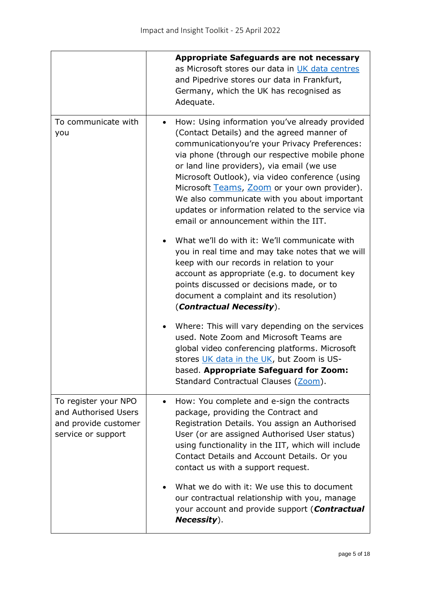|                                                                                            | <b>Appropriate Safeguards are not necessary</b><br>as Microsoft stores our data in UK data centres<br>and Pipedrive stores our data in Frankfurt,<br>Germany, which the UK has recognised as<br>Adequate.                                                                                                                                                                                                                                                                                      |
|--------------------------------------------------------------------------------------------|------------------------------------------------------------------------------------------------------------------------------------------------------------------------------------------------------------------------------------------------------------------------------------------------------------------------------------------------------------------------------------------------------------------------------------------------------------------------------------------------|
| To communicate with<br>you                                                                 | How: Using information you've already provided<br>(Contact Details) and the agreed manner of<br>communicationyou're your Privacy Preferences:<br>via phone (through our respective mobile phone<br>or land line providers), via email (we use<br>Microsoft Outlook), via video conference (using<br>Microsoft Teams, Zoom or your own provider).<br>We also communicate with you about important<br>updates or information related to the service via<br>email or announcement within the IIT. |
|                                                                                            | What we'll do with it: We'll communicate with<br>you in real time and may take notes that we will<br>keep with our records in relation to your<br>account as appropriate (e.g. to document key<br>points discussed or decisions made, or to<br>document a complaint and its resolution)<br>(Contractual Necessity).                                                                                                                                                                            |
|                                                                                            | Where: This will vary depending on the services<br>used. Note Zoom and Microsoft Teams are<br>global video conferencing platforms. Microsoft<br>stores UK data in the UK, but Zoom is US-<br>based. Appropriate Safeguard for Zoom:<br>Standard Contractual Clauses (Zoom).                                                                                                                                                                                                                    |
| To register your NPO<br>and Authorised Users<br>and provide customer<br>service or support | How: You complete and e-sign the contracts<br>$\bullet$<br>package, providing the Contract and<br>Registration Details. You assign an Authorised<br>User (or are assigned Authorised User status)<br>using functionality in the IIT, which will include<br>Contact Details and Account Details. Or you<br>contact us with a support request.                                                                                                                                                   |
|                                                                                            | What we do with it: We use this to document<br>our contractual relationship with you, manage<br>your account and provide support (Contractual<br><b>Necessity</b> ).                                                                                                                                                                                                                                                                                                                           |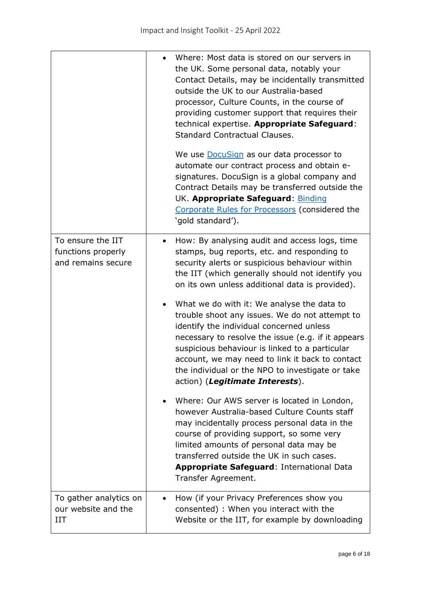|                                                               | Where: Most data is stored on our servers in<br>the UK. Some personal data, notably your<br>Contact Details, may be incidentally transmitted<br>outside the UK to our Australia-based<br>processor, Culture Counts, in the course of<br>providing customer support that requires their<br>technical expertise. Appropriate Safeguard:<br>Standard Contractual Clauses.<br>We use <b>DocuSign</b> as our data processor to<br>automate our contract process and obtain e-<br>signatures. DocuSign is a global company and<br>Contract Details may be transferred outside the<br>UK. Appropriate Safeguard: Binding<br>Corporate Rules for Processors (considered the<br>'gold standard'). |
|---------------------------------------------------------------|------------------------------------------------------------------------------------------------------------------------------------------------------------------------------------------------------------------------------------------------------------------------------------------------------------------------------------------------------------------------------------------------------------------------------------------------------------------------------------------------------------------------------------------------------------------------------------------------------------------------------------------------------------------------------------------|
| To ensure the IIT<br>functions properly<br>and remains secure | How: By analysing audit and access logs, time<br>٠<br>stamps, bug reports, etc. and responding to<br>security alerts or suspicious behaviour within<br>the IIT (which generally should not identify you<br>on its own unless additional data is provided).<br>What we do with it: We analyse the data to<br>trouble shoot any issues. We do not attempt to<br>identify the individual concerned unless<br>necessary to resolve the issue (e.g. if it appears<br>suspicious behaviour is linked to a particular<br>account, we may need to link it back to contact<br>the individual or the NPO to investigate or take<br>action) (Legitimate Interests).                                 |
|                                                               | Where: Our AWS server is located in London,<br>however Australia-based Culture Counts staff<br>may incidentally process personal data in the<br>course of providing support, so some very<br>limited amounts of personal data may be<br>transferred outside the UK in such cases.<br>Appropriate Safeguard: International Data<br>Transfer Agreement.                                                                                                                                                                                                                                                                                                                                    |
| To gather analytics on<br>our website and the<br>III          | How (if your Privacy Preferences show you<br>consented) : When you interact with the<br>Website or the IIT, for example by downloading                                                                                                                                                                                                                                                                                                                                                                                                                                                                                                                                                   |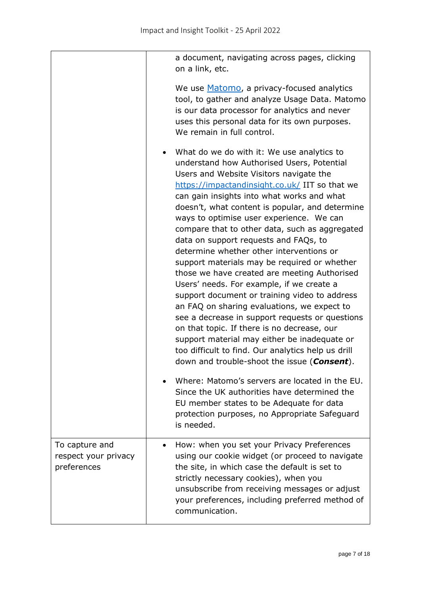|                                                       | a document, navigating across pages, clicking<br>on a link, etc.                                                                                                                                                                                                                                                                                                                                                                                                                                                                                                                                                                                                                                                                                                                                                                                                                                                                                                                           |
|-------------------------------------------------------|--------------------------------------------------------------------------------------------------------------------------------------------------------------------------------------------------------------------------------------------------------------------------------------------------------------------------------------------------------------------------------------------------------------------------------------------------------------------------------------------------------------------------------------------------------------------------------------------------------------------------------------------------------------------------------------------------------------------------------------------------------------------------------------------------------------------------------------------------------------------------------------------------------------------------------------------------------------------------------------------|
|                                                       | We use <b>Matomo</b> , a privacy-focused analytics<br>tool, to gather and analyze Usage Data. Matomo<br>is our data processor for analytics and never<br>uses this personal data for its own purposes.<br>We remain in full control.                                                                                                                                                                                                                                                                                                                                                                                                                                                                                                                                                                                                                                                                                                                                                       |
|                                                       | What do we do with it: We use analytics to<br>$\bullet$<br>understand how Authorised Users, Potential<br>Users and Website Visitors navigate the<br>https://impactandinsight.co.uk/ IIT so that we<br>can gain insights into what works and what<br>doesn't, what content is popular, and determine<br>ways to optimise user experience. We can<br>compare that to other data, such as aggregated<br>data on support requests and FAQs, to<br>determine whether other interventions or<br>support materials may be required or whether<br>those we have created are meeting Authorised<br>Users' needs. For example, if we create a<br>support document or training video to address<br>an FAQ on sharing evaluations, we expect to<br>see a decrease in support requests or questions<br>on that topic. If there is no decrease, our<br>support material may either be inadequate or<br>too difficult to find. Our analytics help us drill<br>down and trouble-shoot the issue (Consent). |
|                                                       | Where: Matomo's servers are located in the EU.<br>Since the UK authorities have determined the<br>EU member states to be Adequate for data<br>protection purposes, no Appropriate Safeguard<br>is needed.                                                                                                                                                                                                                                                                                                                                                                                                                                                                                                                                                                                                                                                                                                                                                                                  |
| To capture and<br>respect your privacy<br>preferences | How: when you set your Privacy Preferences<br>using our cookie widget (or proceed to navigate<br>the site, in which case the default is set to<br>strictly necessary cookies), when you<br>unsubscribe from receiving messages or adjust<br>your preferences, including preferred method of<br>communication.                                                                                                                                                                                                                                                                                                                                                                                                                                                                                                                                                                                                                                                                              |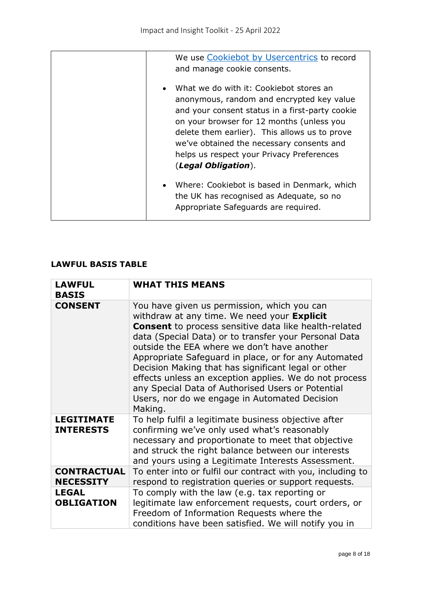| We use Cookiebot by Usercentrics to record<br>and manage cookie consents.                                                                                                                                                                                                                                                                              |
|--------------------------------------------------------------------------------------------------------------------------------------------------------------------------------------------------------------------------------------------------------------------------------------------------------------------------------------------------------|
| What we do with it: Cookiebot stores an<br>anonymous, random and encrypted key value<br>and your consent status in a first-party cookie<br>on your browser for 12 months (unless you<br>delete them earlier). This allows us to prove<br>we've obtained the necessary consents and<br>helps us respect your Privacy Preferences<br>(Legal Obligation). |
| • Where: Cookiebot is based in Denmark, which<br>the UK has recognised as Adequate, so no<br>Appropriate Safeguards are required.                                                                                                                                                                                                                      |

# **LAWFUL BASIS TABLE**

| <b>LAWFUL</b><br><b>BASIS</b>          | <b>WHAT THIS MEANS</b>                                                                                                                                                                                                                                                                                                                                                                                                                                                                                                                                       |
|----------------------------------------|--------------------------------------------------------------------------------------------------------------------------------------------------------------------------------------------------------------------------------------------------------------------------------------------------------------------------------------------------------------------------------------------------------------------------------------------------------------------------------------------------------------------------------------------------------------|
| <b>CONSENT</b>                         | You have given us permission, which you can<br>withdraw at any time. We need your Explicit<br><b>Consent</b> to process sensitive data like health-related<br>data (Special Data) or to transfer your Personal Data<br>outside the EEA where we don't have another<br>Appropriate Safeguard in place, or for any Automated<br>Decision Making that has significant legal or other<br>effects unless an exception applies. We do not process<br>any Special Data of Authorised Users or Potential<br>Users, nor do we engage in Automated Decision<br>Making. |
| <b>LEGITIMATE</b><br><b>INTERESTS</b>  | To help fulfil a legitimate business objective after<br>confirming we've only used what's reasonably<br>necessary and proportionate to meet that objective<br>and struck the right balance between our interests<br>and yours using a Legitimate Interests Assessment.                                                                                                                                                                                                                                                                                       |
| <b>CONTRACTUAL</b><br><b>NECESSITY</b> | To enter into or fulfil our contract with you, including to<br>respond to registration queries or support requests.                                                                                                                                                                                                                                                                                                                                                                                                                                          |
| <b>LEGAL</b><br><b>OBLIGATION</b>      | To comply with the law (e.g. tax reporting or<br>legitimate law enforcement requests, court orders, or<br>Freedom of Information Requests where the<br>conditions have been satisfied. We will notify you in                                                                                                                                                                                                                                                                                                                                                 |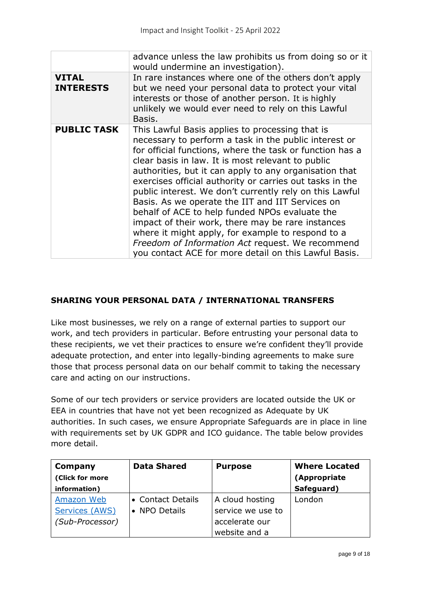|                                  | advance unless the law prohibits us from doing so or it<br>would undermine an investigation).                                                                                                                                                                                                                                                                                                                                                                                                                                                                                                                                                                                                                                           |
|----------------------------------|-----------------------------------------------------------------------------------------------------------------------------------------------------------------------------------------------------------------------------------------------------------------------------------------------------------------------------------------------------------------------------------------------------------------------------------------------------------------------------------------------------------------------------------------------------------------------------------------------------------------------------------------------------------------------------------------------------------------------------------------|
| <b>VITAL</b><br><b>INTERESTS</b> | In rare instances where one of the others don't apply<br>but we need your personal data to protect your vital<br>interests or those of another person. It is highly<br>unlikely we would ever need to rely on this Lawful<br>Basis.                                                                                                                                                                                                                                                                                                                                                                                                                                                                                                     |
| <b>PUBLIC TASK</b>               | This Lawful Basis applies to processing that is<br>necessary to perform a task in the public interest or<br>for official functions, where the task or function has a<br>clear basis in law. It is most relevant to public<br>authorities, but it can apply to any organisation that<br>exercises official authority or carries out tasks in the<br>public interest. We don't currently rely on this Lawful<br>Basis. As we operate the IIT and IIT Services on<br>behalf of ACE to help funded NPOs evaluate the<br>impact of their work, there may be rare instances<br>where it might apply, for example to respond to a<br>Freedom of Information Act request. We recommend<br>you contact ACE for more detail on this Lawful Basis. |

## **SHARING YOUR PERSONAL DATA / INTERNATIONAL TRANSFERS**

Like most businesses, we rely on a range of external parties to support our work, and tech providers in particular. Before entrusting your personal data to these recipients, we vet their practices to ensure we're confident they'll provide adequate protection, and enter into legally-binding agreements to make sure those that process personal data on our behalf commit to taking the necessary care and acting on our instructions.

Some of our tech providers or service providers are located outside the UK or EEA in countries that have not yet been recognized as Adequate by UK authorities. In such cases, we ensure Appropriate Safeguards are in place in line with requirements set by UK GDPR and ICO guidance. The table below provides more detail.

| Company         | <b>Data Shared</b> | <b>Purpose</b>    | <b>Where Located</b> |
|-----------------|--------------------|-------------------|----------------------|
| (Click for more |                    |                   | (Appropriate         |
| information)    |                    |                   | Safeguard)           |
| Amazon Web      | • Contact Details  | A cloud hosting   | London               |
| Services (AWS)  | • NPO Details      | service we use to |                      |
| (Sub-Processor) |                    | accelerate our    |                      |
|                 |                    | website and a     |                      |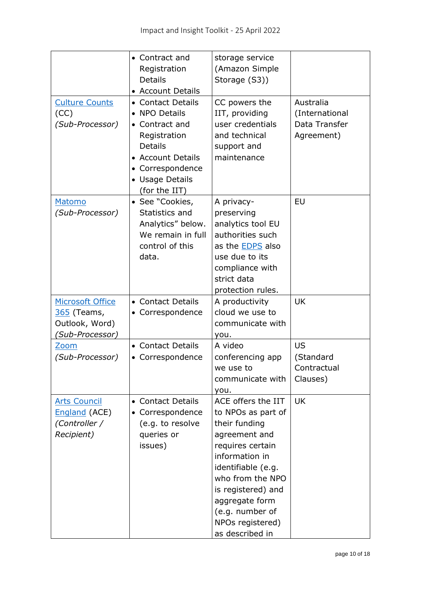|                                                                             | • Contract and<br>Registration<br><b>Details</b><br><b>Account Details</b><br>$\bullet$                                                                             | storage service<br>(Amazon Simple<br>Storage (S3))                                                                                                                                                                                                           |                                                            |
|-----------------------------------------------------------------------------|---------------------------------------------------------------------------------------------------------------------------------------------------------------------|--------------------------------------------------------------------------------------------------------------------------------------------------------------------------------------------------------------------------------------------------------------|------------------------------------------------------------|
| <b>Culture Counts</b><br>(CC)<br>(Sub-Processor)                            | • Contact Details<br>• NPO Details<br>• Contract and<br>Registration<br><b>Details</b><br>• Account Details<br>• Correspondence<br>• Usage Details<br>(for the IIT) | CC powers the<br>IIT, providing<br>user credentials<br>and technical<br>support and<br>maintenance                                                                                                                                                           | Australia<br>(International<br>Data Transfer<br>Agreement) |
| Matomo<br>(Sub-Processor)                                                   | • See "Cookies,<br>Statistics and<br>Analytics" below.<br>We remain in full<br>control of this<br>data.                                                             | A privacy-<br>preserving<br>analytics tool EU<br>authorities such<br>as the <b>EDPS</b> also<br>use due to its<br>compliance with<br>strict data<br>protection rules.                                                                                        | EU                                                         |
| <b>Microsoft Office</b><br>365 (Teams,<br>Outlook, Word)<br>(Sub-Processor) | • Contact Details<br>• Correspondence                                                                                                                               | A productivity<br>cloud we use to<br>communicate with<br>you.                                                                                                                                                                                                | UK                                                         |
| <u>Zoom</u><br>(Sub-Processor)                                              | • Contact Details<br>• Correspondence                                                                                                                               | A video<br>conferencing app<br>we use to<br>communicate with<br>you.                                                                                                                                                                                         | <b>US</b><br>(Standard<br>Contractual<br>Clauses)          |
| <b>Arts Council</b><br><b>England (ACE)</b><br>(Controller /<br>Recipient)  | • Contact Details<br>• Correspondence<br>(e.g. to resolve<br>queries or<br>issues)                                                                                  | ACE offers the IIT<br>to NPOs as part of<br>their funding<br>agreement and<br>requires certain<br>information in<br>identifiable (e.g.<br>who from the NPO<br>is registered) and<br>aggregate form<br>(e.g. number of<br>NPOs registered)<br>as described in | UK                                                         |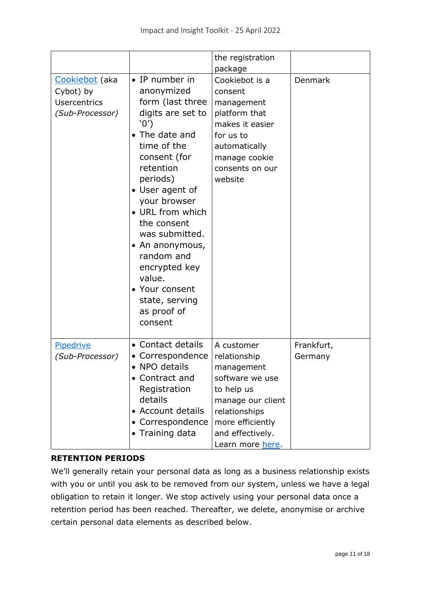|                                                                       |                                                                                                                                                                                                                                                                                                                                                                          | the registration<br>package                                                                                                                                                 |                       |
|-----------------------------------------------------------------------|--------------------------------------------------------------------------------------------------------------------------------------------------------------------------------------------------------------------------------------------------------------------------------------------------------------------------------------------------------------------------|-----------------------------------------------------------------------------------------------------------------------------------------------------------------------------|-----------------------|
| Cookiebot (aka<br>Cybot) by<br><b>Usercentrics</b><br>(Sub-Processor) | • IP number in<br>anonymized<br>form (last three<br>digits are set to<br>'0'<br>• The date and<br>time of the<br>consent (for<br>retention<br>periods)<br>• User agent of<br>your browser<br>• URL from which<br>the consent<br>was submitted.<br>• An anonymous,<br>random and<br>encrypted key<br>value.<br>• Your consent<br>state, serving<br>as proof of<br>consent | Cookiebot is a<br>consent<br>management<br>platform that<br>makes it easier<br>for us to<br>automatically<br>manage cookie<br>consents on our<br>website                    | Denmark               |
| Pipedrive<br>(Sub-Processor)                                          | • Contact details<br>• Correspondence<br>NPO details<br>• Contract and<br>Registration<br>details<br>• Account details<br>Correspondence<br>• Training data                                                                                                                                                                                                              | A customer<br>relationship<br>management<br>software we use<br>to help us<br>manage our client<br>relationships<br>more efficiently<br>and effectively.<br>Learn more here. | Frankfurt,<br>Germany |

# **RETENTION PERIODS**

We'll generally retain your personal data as long as a business relationship exists with you or until you ask to be removed from our system, unless we have a legal obligation to retain it longer. We stop actively using your personal data once a retention period has been reached. Thereafter, we delete, anonymise or archive certain personal data elements as described below.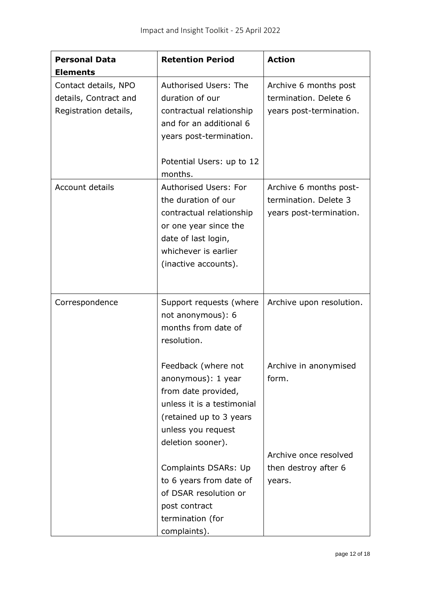| <b>Personal Data</b><br><b>Elements</b>                                | <b>Retention Period</b>                                                                                                                                                  | <b>Action</b>                                                              |
|------------------------------------------------------------------------|--------------------------------------------------------------------------------------------------------------------------------------------------------------------------|----------------------------------------------------------------------------|
| Contact details, NPO<br>details, Contract and<br>Registration details, | Authorised Users: The<br>duration of our<br>contractual relationship<br>and for an additional 6<br>years post-termination.<br>Potential Users: up to 12<br>months.       | Archive 6 months post<br>termination. Delete 6<br>years post-termination.  |
| Account details                                                        | Authorised Users: For<br>the duration of our<br>contractual relationship<br>or one year since the<br>date of last login,<br>whichever is earlier<br>(inactive accounts). | Archive 6 months post-<br>termination. Delete 3<br>years post-termination. |
| Correspondence                                                         | Support requests (where<br>not anonymous): 6<br>months from date of<br>resolution.                                                                                       | Archive upon resolution.                                                   |
|                                                                        | Feedback (where not<br>anonymous): 1 year<br>from date provided,<br>unless it is a testimonial<br>(retained up to 3 years<br>unless you request<br>deletion sooner).     | Archive in anonymised<br>form.                                             |
|                                                                        | Complaints DSARs: Up<br>to 6 years from date of<br>of DSAR resolution or<br>post contract<br>termination (for<br>complaints).                                            | Archive once resolved<br>then destroy after 6<br>years.                    |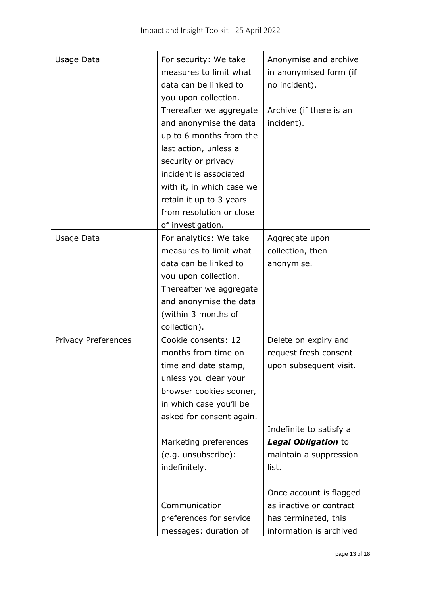| Usage Data                 | For security: We take<br>measures to limit what<br>data can be linked to                             | Anonymise and archive<br>in anonymised form (if<br>no incident). |
|----------------------------|------------------------------------------------------------------------------------------------------|------------------------------------------------------------------|
|                            | you upon collection.<br>Thereafter we aggregate<br>and anonymise the data<br>up to 6 months from the | Archive (if there is an<br>incident).                            |
|                            | last action, unless a<br>security or privacy                                                         |                                                                  |
|                            | incident is associated                                                                               |                                                                  |
|                            | with it, in which case we                                                                            |                                                                  |
|                            | retain it up to 3 years                                                                              |                                                                  |
|                            | from resolution or close                                                                             |                                                                  |
|                            | of investigation.                                                                                    |                                                                  |
| Usage Data                 | For analytics: We take                                                                               | Aggregate upon                                                   |
|                            | measures to limit what                                                                               | collection, then                                                 |
|                            | data can be linked to                                                                                | anonymise.                                                       |
|                            | you upon collection.                                                                                 |                                                                  |
|                            | Thereafter we aggregate                                                                              |                                                                  |
|                            | and anonymise the data                                                                               |                                                                  |
|                            | (within 3 months of                                                                                  |                                                                  |
|                            | collection).                                                                                         |                                                                  |
| <b>Privacy Preferences</b> | Cookie consents: 12                                                                                  | Delete on expiry and                                             |
|                            | months from time on                                                                                  | request fresh consent                                            |
|                            | time and date stamp,                                                                                 | upon subsequent visit.                                           |
|                            | unless you clear your                                                                                |                                                                  |
|                            | browser cookies sooner,                                                                              |                                                                  |
|                            | in which case you'll be                                                                              |                                                                  |
|                            | asked for consent again.                                                                             |                                                                  |
|                            |                                                                                                      | Indefinite to satisfy a                                          |
|                            | Marketing preferences                                                                                | Legal Obligation to                                              |
|                            | (e.g. unsubscribe):                                                                                  | maintain a suppression                                           |
|                            | indefinitely.                                                                                        | list.                                                            |
|                            |                                                                                                      | Once account is flagged                                          |
|                            | Communication                                                                                        | as inactive or contract                                          |
|                            | preferences for service                                                                              | has terminated, this                                             |
|                            | messages: duration of                                                                                | information is archived                                          |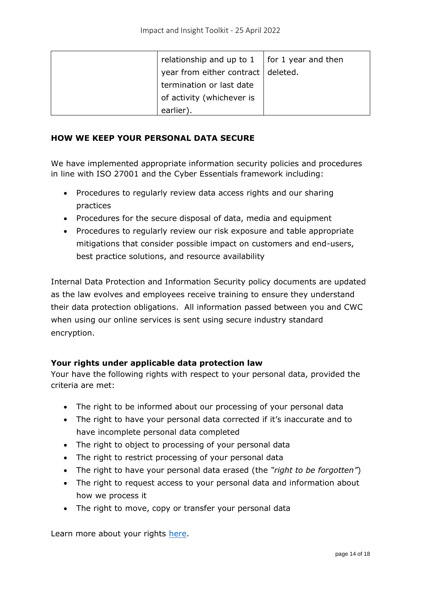| relationship and up to $1 \mid$ for 1 year and then |  |
|-----------------------------------------------------|--|
| year from either contract   deleted.                |  |
| termination or last date                            |  |
| of activity (whichever is                           |  |
| earlier)                                            |  |

## **HOW WE KEEP YOUR PERSONAL DATA SECURE**

We have implemented appropriate information security policies and procedures in line with ISO 27001 and the Cyber Essentials framework including:

- Procedures to regularly review data access rights and our sharing practices
- Procedures for the secure disposal of data, media and equipment
- Procedures to regularly review our risk exposure and table appropriate mitigations that consider possible impact on customers and end-users, best practice solutions, and resource availability

Internal Data Protection and Information Security policy documents are updated as the law evolves and employees receive training to ensure they understand their data protection obligations. All information passed between you and CWC when using our online services is sent using secure industry standard encryption.

#### **Your rights under applicable data protection law**

Your have the following rights with respect to your personal data, provided the criteria are met:

- The right to be informed about our processing of your personal data
- The right to have your personal data corrected if it's inaccurate and to have incomplete personal data completed
- The right to object to processing of your personal data
- The right to restrict processing of your personal data
- The right to have your personal data erased (the *"right to be forgotten"*)
- The right to request access to your personal data and information about how we process it
- The right to move, copy or transfer your personal data

Learn more about your rights [here.](https://ico.org.uk/your-data-matters/)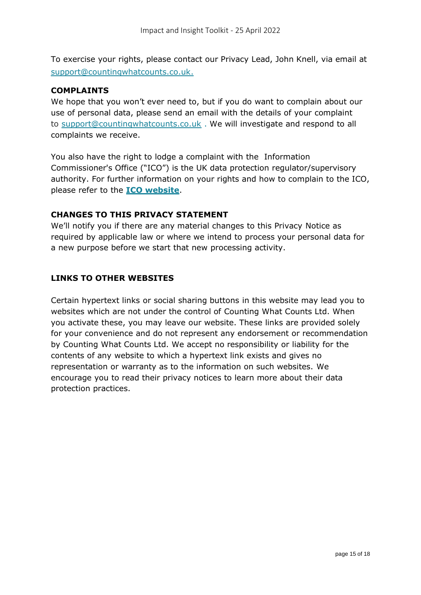To exercise your rights, please contact our Privacy Lead, John Knell, via email at [support@countingwhatcounts.co.uk.](/Users/simonetopel/Library/Containers/com.apple.mail/Data/Library/Mail%20Downloads/798DAFE3-89BF-4178-B919-904E41D020ED/support@countingwhatcounts.co.uk)

#### **COMPLAINTS**

We hope that you won't ever need to, but if you do want to complain about our use of personal data, please send an email with the details of your complaint to [support@countingwhatcounts.co.uk](/Users/simonetopel/Library/Containers/com.apple.mail/Data/Library/Mail%20Downloads/798DAFE3-89BF-4178-B919-904E41D020ED/support@countingwhatcounts.co.uk) . We will investigate and respond to all complaints we receive.

You also have the right to lodge a complaint with the Information Commissioner's Office ("ICO") is the UK data protection regulator/supervisory authority. For further information on your rights and how to complain to the ICO, please refer to the **ICO [website](https://ico.org.uk/your-data-matters/raising-concerns/)**.

# **CHANGES TO THIS PRIVACY STATEMENT**

We'll notify you if there are any material changes to this Privacy Notice as required by applicable law or where we intend to process your personal data for a new purpose before we start that new processing activity.

# **LINKS TO OTHER WEBSITES**

Certain hypertext links or social sharing buttons in this website may lead you to websites which are not under the control of Counting What Counts Ltd. When you activate these, you may leave our website. These links are provided solely for your convenience and do not represent any endorsement or recommendation by Counting What Counts Ltd. We accept no responsibility or liability for the contents of any website to which a hypertext link exists and gives no representation or warranty as to the information on such websites. We encourage you to read their privacy notices to learn more about their data protection practices.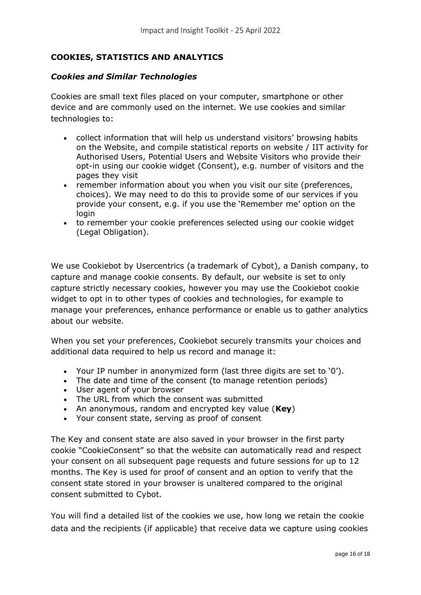# **COOKIES, STATISTICS AND ANALYTICS**

#### *Cookies and Similar Technologies*

Cookies are small text files placed on your computer, smartphone or other device and are commonly used on the internet. We use cookies and similar technologies to:

- collect information that will help us understand visitors' browsing habits on the Website, and compile statistical reports on website / IIT activity for Authorised Users, Potential Users and Website Visitors who provide their opt-in using our cookie widget (Consent), e.g. number of visitors and the pages they visit
- remember information about you when you visit our site (preferences, choices). We may need to do this to provide some of our services if you provide your consent, e.g. if you use the 'Remember me' option on the login
- to remember your cookie preferences selected using our cookie widget (Legal Obligation).

We use Cookiebot by Usercentrics (a trademark of Cybot), a Danish company, to capture and manage cookie consents. By default, our website is set to only capture strictly necessary cookies, however you may use the Cookiebot cookie widget to opt in to other types of cookies and technologies, for example to manage your preferences, enhance performance or enable us to gather analytics about our website.

When you set your preferences, Cookiebot securely transmits your choices and additional data required to help us record and manage it:

- Your IP number in anonymized form (last three digits are set to '0').
- The date and time of the consent (to manage retention periods)
- User agent of your browser
- The URL from which the consent was submitted
- An anonymous, random and encrypted key value (**Key**)
- Your consent state, serving as proof of consent

The Key and consent state are also saved in your browser in the first party cookie "CookieConsent" so that the website can automatically read and respect your consent on all subsequent page requests and future sessions for up to 12 months. The Key is used for proof of consent and an option to verify that the consent state stored in your browser is unaltered compared to the original consent submitted to Cybot.

You will find a detailed list of the cookies we use, how long we retain the cookie data and the recipients (if applicable) that receive data we capture using cookies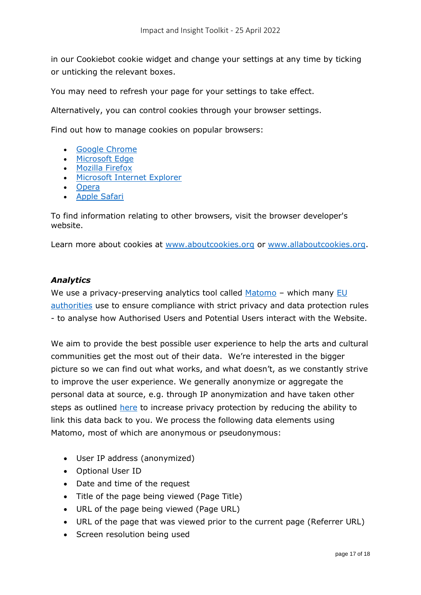in our Cookiebot cookie widget and change your settings at any time by ticking or unticking the relevant boxes.

You may need to refresh your page for your settings to take effect.

Alternatively, you can control cookies through your browser settings.

Find out how to manage cookies on popular browsers:

- [Google Chrome](https://support.google.com/accounts/answer/61416?co=GENIE.Platform%3DDesktop&hl=en)
- [Microsoft Edge](https://privacy.microsoft.com/en-us/windows-10-microsoft-edge-and-privacy)
- [Mozilla Firefox](https://support.mozilla.org/en-US/kb/enable-and-disable-cookies-website-preferences)
- [Microsoft Internet Explorer](https://support.microsoft.com/en-gb/help/17442/windows-internet-explorer-delete-manage-cookies)
- [Opera](https://www.opera.com/help/tutorials/security/privacy/)
- [Apple Safari](https://support.apple.com/en-gb/safari)

To find information relating to other browsers, visit the browser developer's website.

Learn more about cookies at [www.aboutcookies.org](http://www.aboutcookies.org/) or [www.allaboutcookies.org.](http://www.allaboutcookies.org/)

#### *Analytics*

We use a privacy-preserving analytics tool called [Matomo](https://matomo.org/) – which many EU [authorities](https://edps.europa.eu/about-edps/legal-notices_en) use to ensure compliance with strict privacy and data protection rules - to analyse how Authorised Users and Potential Users interact with the Website.

We aim to provide the best possible user experience to help the arts and cultural communities get the most out of their data. We're interested in the bigger picture so we can find out what works, and what doesn't, as we constantly strive to improve the user experience. We generally anonymize or aggregate the personal data at source, e.g. through IP anonymization and have taken other steps as outlined [here](https://matomo.org/docs/privacy-how-to/) to increase privacy protection by reducing the ability to link this data back to you. We process the following data elements using Matomo, most of which are anonymous or pseudonymous:

- User IP address (anonymized)
- Optional User ID
- Date and time of the request
- Title of the page being viewed (Page Title)
- URL of the page being viewed (Page URL)
- URL of the page that was viewed prior to the current page (Referrer URL)
- Screen resolution being used